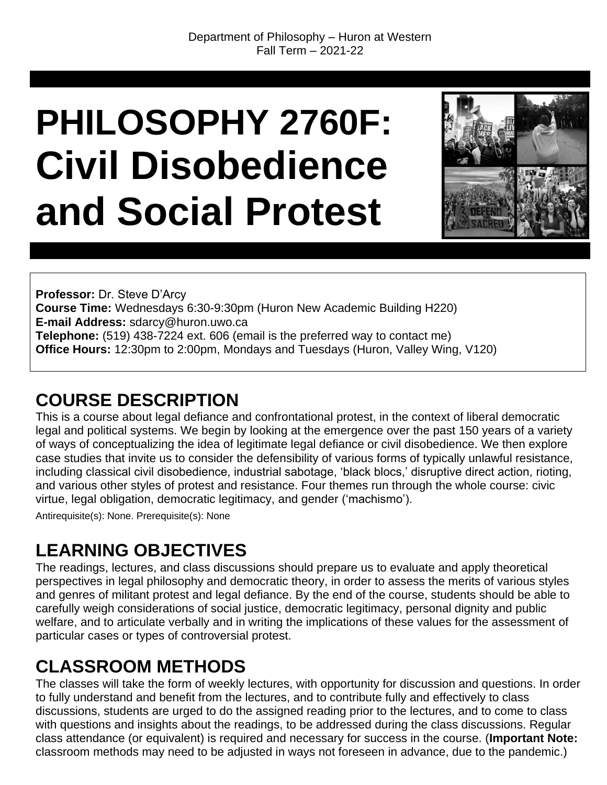# **PHILOSOPHY 2760F: Civil Disobedience and Social Protest**



**Professor:** Dr. Steve D'Arcy **Course Time:** Wednesdays 6:30-9:30pm (Huron New Academic Building H220) **E-mail Address:** sdarcy@huron.uwo.ca **Telephone:** (519) 438-7224 ext. 606 (email is the preferred way to contact me) **Office Hours:** 12:30pm to 2:00pm, Mondays and Tuesdays (Huron, Valley Wing, V120)

# **COURSE DESCRIPTION**

This is a course about legal defiance and confrontational protest, in the context of liberal democratic legal and political systems. We begin by looking at the emergence over the past 150 years of a variety of ways of conceptualizing the idea of legitimate legal defiance or civil disobedience. We then explore case studies that invite us to consider the defensibility of various forms of typically unlawful resistance, including classical civil disobedience, industrial sabotage, 'black blocs,' disruptive direct action, rioting, and various other styles of protest and resistance. Four themes run through the whole course: civic virtue, legal obligation, democratic legitimacy, and gender ('machismo').

Antirequisite(s): None. Prerequisite(s): None

# **LEARNING OBJECTIVES**

The readings, lectures, and class discussions should prepare us to evaluate and apply theoretical perspectives in legal philosophy and democratic theory, in order to assess the merits of various styles and genres of militant protest and legal defiance. By the end of the course, students should be able to carefully weigh considerations of social justice, democratic legitimacy, personal dignity and public welfare, and to articulate verbally and in writing the implications of these values for the assessment of particular cases or types of controversial protest.

# **CLASSROOM METHODS**

The classes will take the form of weekly lectures, with opportunity for discussion and questions. In order to fully understand and benefit from the lectures, and to contribute fully and effectively to class discussions, students are urged to do the assigned reading prior to the lectures, and to come to class with questions and insights about the readings, to be addressed during the class discussions. Regular class attendance (or equivalent) is required and necessary for success in the course. (**Important Note:** classroom methods may need to be adjusted in ways not foreseen in advance, due to the pandemic.)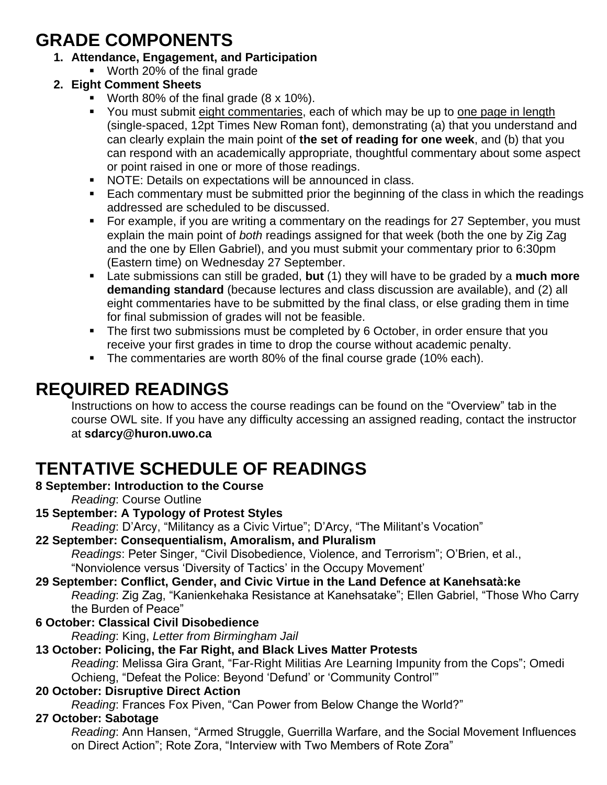# **GRADE COMPONENTS**

- **1. Attendance, Engagement, and Participation**
	- **Worth 20% of the final grade**

# **2. Eight Comment Sheets**

- Worth 80% of the final grade (8 x 10%).
- You must submit eight commentaries, each of which may be up to one page in length (single-spaced, 12pt Times New Roman font), demonstrating (a) that you understand and can clearly explain the main point of **the set of reading for one week**, and (b) that you can respond with an academically appropriate, thoughtful commentary about some aspect or point raised in one or more of those readings.
- NOTE: Details on expectations will be announced in class.
- Each commentary must be submitted prior the beginning of the class in which the readings addressed are scheduled to be discussed.
- For example, if you are writing a commentary on the readings for 27 September, you must explain the main point of *both* readings assigned for that week (both the one by Zig Zag and the one by Ellen Gabriel), and you must submit your commentary prior to 6:30pm (Eastern time) on Wednesday 27 September.
- Late submissions can still be graded, **but** (1) they will have to be graded by a **much more demanding standard** (because lectures and class discussion are available), and (2) all eight commentaries have to be submitted by the final class, or else grading them in time for final submission of grades will not be feasible.
- The first two submissions must be completed by 6 October, in order ensure that you receive your first grades in time to drop the course without academic penalty.
- The commentaries are worth 80% of the final course grade (10% each).

# **REQUIRED READINGS**

Instructions on how to access the course readings can be found on the "Overview" tab in the course OWL site. If you have any difficulty accessing an assigned reading, contact the instructor at **sdarcy@huron.uwo.ca**

# **TENTATIVE SCHEDULE OF READINGS**

## **8 September: Introduction to the Course**

*Reading*: Course Outline

## **15 September: A Typology of Protest Styles**

*Reading*: D'Arcy, "Militancy as a Civic Virtue"; D'Arcy, "The Militant's Vocation"

**22 September: Consequentialism, Amoralism, and Pluralism** *Readings*: Peter Singer, "Civil Disobedience, Violence, and Terrorism"; O'Brien, et al., "Nonviolence versus 'Diversity of Tactics' in the Occupy Movement'

#### **29 September: Conflict, Gender, and Civic Virtue in the Land Defence at Kanehsatà:ke** *Reading*: Zig Zag, "Kanienkehaka Resistance at Kanehsatake"; Ellen Gabriel, "Those Who Carry the Burden of Peace"

**6 October: Classical Civil Disobedience**

*Reading*: King, *Letter from Birmingham Jail*

# **13 October: Policing, the Far Right, and Black Lives Matter Protests**

*Reading*: Melissa Gira Grant, "Far-Right Militias Are Learning Impunity from the Cops"; Omedi Ochieng, "Defeat the Police: Beyond 'Defund' or 'Community Control'"

# **20 October: Disruptive Direct Action**

*Reading*: Frances Fox Piven, "Can Power from Below Change the World?"

# **27 October: Sabotage**

*Reading*: Ann Hansen, "Armed Struggle, Guerrilla Warfare, and the Social Movement Influences on Direct Action"; Rote Zora, "Interview with Two Members of Rote Zora"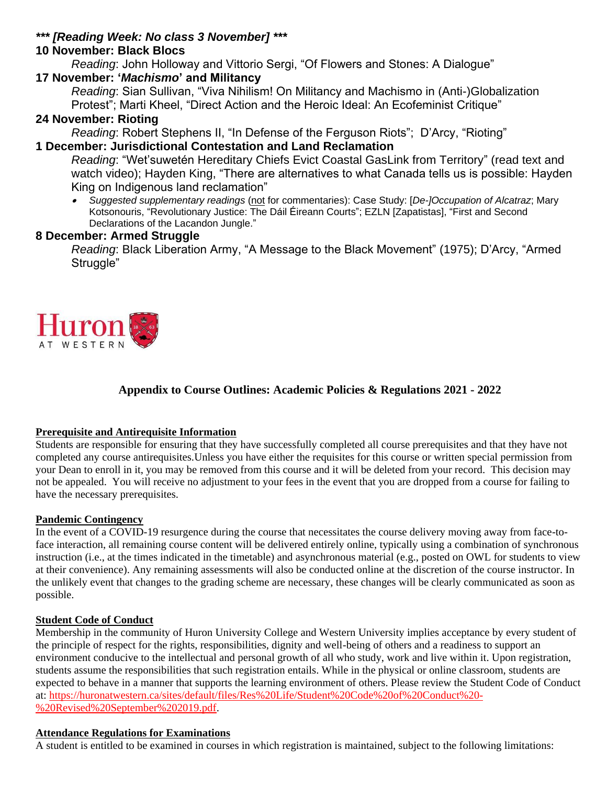#### *\*\*\* [Reading Week: No class 3 November] \*\*\**

## **10 November: Black Blocs**

*Reading*: John Holloway and Vittorio Sergi, "Of Flowers and Stones: A Dialogue" **17 November: '***Machismo***' and Militancy**

*Reading*: Sian Sullivan, "Viva Nihilism! On Militancy and Machismo in (Anti-)Globalization Protest"; Marti Kheel, "Direct Action and the Heroic Ideal: An Ecofeminist Critique"

## **24 November: Rioting**

*Reading*: Robert Stephens II, "In Defense of the Ferguson Riots"; D'Arcy, "Rioting" **1 December: Jurisdictional Contestation and Land Reclamation**

*Reading*: "Wet'suwetén Hereditary Chiefs Evict Coastal GasLink from Territory" (read text and watch video); Hayden King, "There are alternatives to what Canada tells us is possible: Hayden King on Indigenous land reclamation"

. *Suggested supplementary readings* (not for commentaries): Case Study: [*De-]Occupation of Alcatraz*; Mary Kotsonouris, "Revolutionary Justice: The Dáil Éireann Courts"; EZLN [Zapatistas], "First and Second Declarations of the Lacandon Jungle."

## **8 December: Armed Struggle**

*Reading*: Black Liberation Army, "A Message to the Black Movement" (1975); D'Arcy, "Armed Struggle"



# **Appendix to Course Outlines: Academic Policies & Regulations 2021 - 2022**

#### **Prerequisite and Antirequisite Information**

Students are responsible for ensuring that they have successfully completed all course prerequisites and that they have not completed any course antirequisites.Unless you have either the requisites for this course or written special permission from your Dean to enroll in it, you may be removed from this course and it will be deleted from your record. This decision may not be appealed. You will receive no adjustment to your fees in the event that you are dropped from a course for failing to have the necessary prerequisites.

## **Pandemic Contingency**

In the event of a COVID-19 resurgence during the course that necessitates the course delivery moving away from face-toface interaction, all remaining course content will be delivered entirely online, typically using a combination of synchronous instruction (i.e., at the times indicated in the timetable) and asynchronous material (e.g., posted on OWL for students to view at their convenience). Any remaining assessments will also be conducted online at the discretion of the course instructor. In the unlikely event that changes to the grading scheme are necessary, these changes will be clearly communicated as soon as possible.

## **Student Code of Conduct**

Membership in the community of Huron University College and Western University implies acceptance by every student of the principle of respect for the rights, responsibilities, dignity and well-being of others and a readiness to support an environment conducive to the intellectual and personal growth of all who study, work and live within it. Upon registration, students assume the responsibilities that such registration entails. While in the physical or online classroom, students are expected to behave in a manner that supports the learning environment of others. Please review the Student Code of Conduct at: [https://huronatwestern.ca/sites/default/files/Res%20Life/Student%20Code%20of%20Conduct%20-](https://huronatwestern.ca/sites/default/files/Res%20Life/Student%20Code%20of%20Conduct%20-%20Revised%20September%202019.pdf) [%20Revised%20September%202019.pdf.](https://huronatwestern.ca/sites/default/files/Res%20Life/Student%20Code%20of%20Conduct%20-%20Revised%20September%202019.pdf)

## **Attendance Regulations for Examinations**

A student is entitled to be examined in courses in which registration is maintained, subject to the following limitations: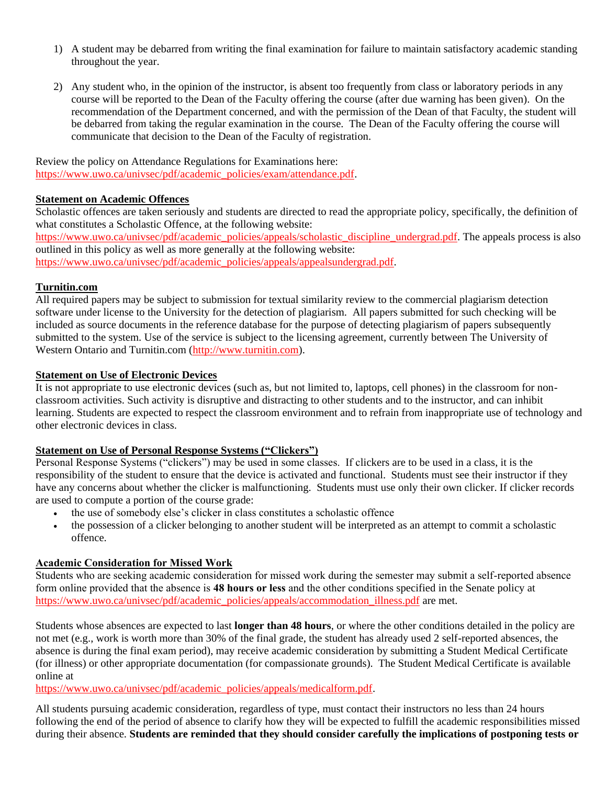- 1) A student may be debarred from writing the final examination for failure to maintain satisfactory academic standing throughout the year.
- 2) Any student who, in the opinion of the instructor, is absent too frequently from class or laboratory periods in any course will be reported to the Dean of the Faculty offering the course (after due warning has been given). On the recommendation of the Department concerned, and with the permission of the Dean of that Faculty, the student will be debarred from taking the regular examination in the course. The Dean of the Faculty offering the course will communicate that decision to the Dean of the Faculty of registration.

Review the policy on Attendance Regulations for Examinations here: [https://www.uwo.ca/univsec/pdf/academic\\_policies/exam/attendance.pdf.](https://www.uwo.ca/univsec/pdf/academic_policies/exam/attendance.pdf)

#### **Statement on Academic Offences**

Scholastic offences are taken seriously and students are directed to read the appropriate policy, specifically, the definition of what constitutes a Scholastic Offence, at the following website:

[https://www.uwo.ca/univsec/pdf/academic\\_policies/appeals/scholastic\\_discipline\\_undergrad.pdf.](https://www.uwo.ca/univsec/pdf/academic_policies/appeals/scholastic_discipline_undergrad.pdf) The appeals process is also outlined in this policy as well as more generally at the following website: [https://www.uwo.ca/univsec/pdf/academic\\_policies/appeals/appealsundergrad.pdf.](https://www.uwo.ca/univsec/pdf/academic_policies/appeals/appealsundergrad.pdf)

#### **Turnitin.com**

All required papers may be subject to submission for textual similarity review to the commercial plagiarism detection software under license to the University for the detection of plagiarism. All papers submitted for such checking will be included as source documents in the reference database for the purpose of detecting plagiarism of papers subsequently submitted to the system. Use of the service is subject to the licensing agreement, currently between The University of Western Ontario and Turnitin.com [\(http://www.turnitin.com\)](http://www.turnitin.com/).

#### **Statement on Use of Electronic Devices**

It is not appropriate to use electronic devices (such as, but not limited to, laptops, cell phones) in the classroom for nonclassroom activities. Such activity is disruptive and distracting to other students and to the instructor, and can inhibit learning. Students are expected to respect the classroom environment and to refrain from inappropriate use of technology and other electronic devices in class.

#### **Statement on Use of Personal Response Systems ("Clickers")**

Personal Response Systems ("clickers") may be used in some classes. If clickers are to be used in a class, it is the responsibility of the student to ensure that the device is activated and functional. Students must see their instructor if they have any concerns about whether the clicker is malfunctioning. Students must use only their own clicker. If clicker records are used to compute a portion of the course grade:

- the use of somebody else's clicker in class constitutes a scholastic offence
- the possession of a clicker belonging to another student will be interpreted as an attempt to commit a scholastic offence.

#### **Academic Consideration for Missed Work**

Students who are seeking academic consideration for missed work during the semester may submit a self-reported absence form online provided that the absence is **48 hours or less** and the other conditions specified in the Senate policy at [https://www.uwo.ca/univsec/pdf/academic\\_policies/appeals/accommodation\\_illness.pdf](https://www.uwo.ca/univsec/pdf/academic_policies/appeals/accommodation_illness.pdf) are met.

Students whose absences are expected to last **longer than 48 hours**, or where the other conditions detailed in the policy are not met (e.g., work is worth more than 30% of the final grade, the student has already used 2 self-reported absences, the absence is during the final exam period), may receive academic consideration by submitting a Student Medical Certificate (for illness) or other appropriate documentation (for compassionate grounds). The Student Medical Certificate is available online at

[https://www.uwo.ca/univsec/pdf/academic\\_policies/appeals/medicalform.pdf.](https://www.uwo.ca/univsec/pdf/academic_policies/appeals/medicalform.pdf)

All students pursuing academic consideration, regardless of type, must contact their instructors no less than 24 hours following the end of the period of absence to clarify how they will be expected to fulfill the academic responsibilities missed during their absence. **Students are reminded that they should consider carefully the implications of postponing tests or**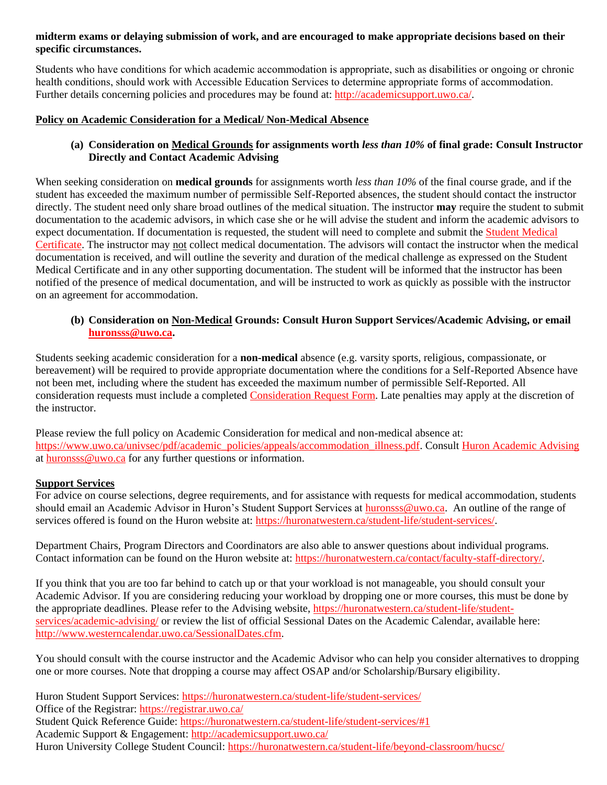#### **midterm exams or delaying submission of work, and are encouraged to make appropriate decisions based on their specific circumstances.**

Students who have conditions for which academic accommodation is appropriate, such as disabilities or ongoing or chronic health conditions, should work with Accessible Education Services to determine appropriate forms of accommodation. Further details concerning policies and procedures may be found at: [http://academicsupport.uwo.ca/.](http://academicsupport.uwo.ca/)

#### **Policy on Academic Consideration for a Medical/ Non-Medical Absence**

#### **(a) Consideration on Medical Grounds for assignments worth** *less than 10%* **of final grade: Consult Instructor Directly and Contact Academic Advising**

When seeking consideration on **medical grounds** for assignments worth *less than 10%* of the final course grade, and if the student has exceeded the maximum number of permissible Self-Reported absences, the student should contact the instructor directly. The student need only share broad outlines of the medical situation. The instructor **may** require the student to submit documentation to the academic advisors, in which case she or he will advise the student and inform the academic advisors to expect documentation. If documentation is requested, the student will need to complete and submit the [Student Medical](https://www.uwo.ca/univsec/pdf/academic_policies/appeals/medicalform_15JUN.pdf)  [Certificate.](https://www.uwo.ca/univsec/pdf/academic_policies/appeals/medicalform_15JUN.pdf) The instructor may not collect medical documentation. The advisors will contact the instructor when the medical documentation is received, and will outline the severity and duration of the medical challenge as expressed on the Student Medical Certificate and in any other supporting documentation. The student will be informed that the instructor has been notified of the presence of medical documentation, and will be instructed to work as quickly as possible with the instructor on an agreement for accommodation.

#### **(b) Consideration on Non-Medical Grounds: Consult Huron Support Services/Academic Advising, or email [huronsss@uwo.ca.](mailto:huronsss@uwo.ca)**

Students seeking academic consideration for a **non-medical** absence (e.g. varsity sports, religious, compassionate, or bereavement) will be required to provide appropriate documentation where the conditions for a Self-Reported Absence have not been met, including where the student has exceeded the maximum number of permissible Self-Reported. All consideration requests must include a completed [Consideration Request Form.](https://huronatwestern.ca/sites/default/files/Forms/Academic%20Consideration%20Request%20Form%202020.pdf) Late penalties may apply at the discretion of the instructor.

Please review the full policy on Academic Consideration for medical and non-medical absence at: [https://www.uwo.ca/univsec/pdf/academic\\_policies/appeals/accommodation\\_illness.pdf.](https://www.uwo.ca/univsec/pdf/academic_policies/appeals/accommodation_illness.pdf) Consult [Huron Academic Advising](https://huronatwestern.ca/student-life/student-services/academic-advising/) at [huronsss@uwo.ca](mailto:huronsss@uwo.ca) for any further questions or information.

#### **Support Services**

For advice on course selections, degree requirements, and for assistance with requests for medical accommodation, students should email an Academic Advisor in Huron's Student Support Services at [huronsss@uwo.ca.](mailto:huronsss@uwo.ca) An outline of the range of services offered is found on the Huron website at: [https://huronatwestern.ca/student-life/student-services/.](https://huronatwestern.ca/student-life/student-services/)

Department Chairs, Program Directors and Coordinators are also able to answer questions about individual programs. Contact information can be found on the Huron website at: [https://huronatwestern.ca/contact/faculty-staff-directory/.](https://huronatwestern.ca/contact/faculty-staff-directory/)

If you think that you are too far behind to catch up or that your workload is not manageable, you should consult your Academic Advisor. If you are considering reducing your workload by dropping one or more courses, this must be done by the appropriate deadlines. Please refer to the Advising website, [https://huronatwestern.ca/student-life/student](https://huronatwestern.ca/student-life/student-services/academic-advising/)[services/academic-advising/](https://huronatwestern.ca/student-life/student-services/academic-advising/) or review the list of official Sessional Dates on the Academic Calendar, available here: [http://www.westerncalendar.uwo.ca/SessionalDates.cfm.](http://www.westerncalendar.uwo.ca/SessionalDates.cfm)

You should consult with the course instructor and the Academic Advisor who can help you consider alternatives to dropping one or more courses. Note that dropping a course may affect OSAP and/or Scholarship/Bursary eligibility.

Huron Student Support Services:<https://huronatwestern.ca/student-life/student-services/> Office of the Registrar: <https://registrar.uwo.ca/> Student Quick Reference Guide:<https://huronatwestern.ca/student-life/student-services/#1> Academic Support & Engagement:<http://academicsupport.uwo.ca/> Huron University College Student Council:<https://huronatwestern.ca/student-life/beyond-classroom/hucsc/>